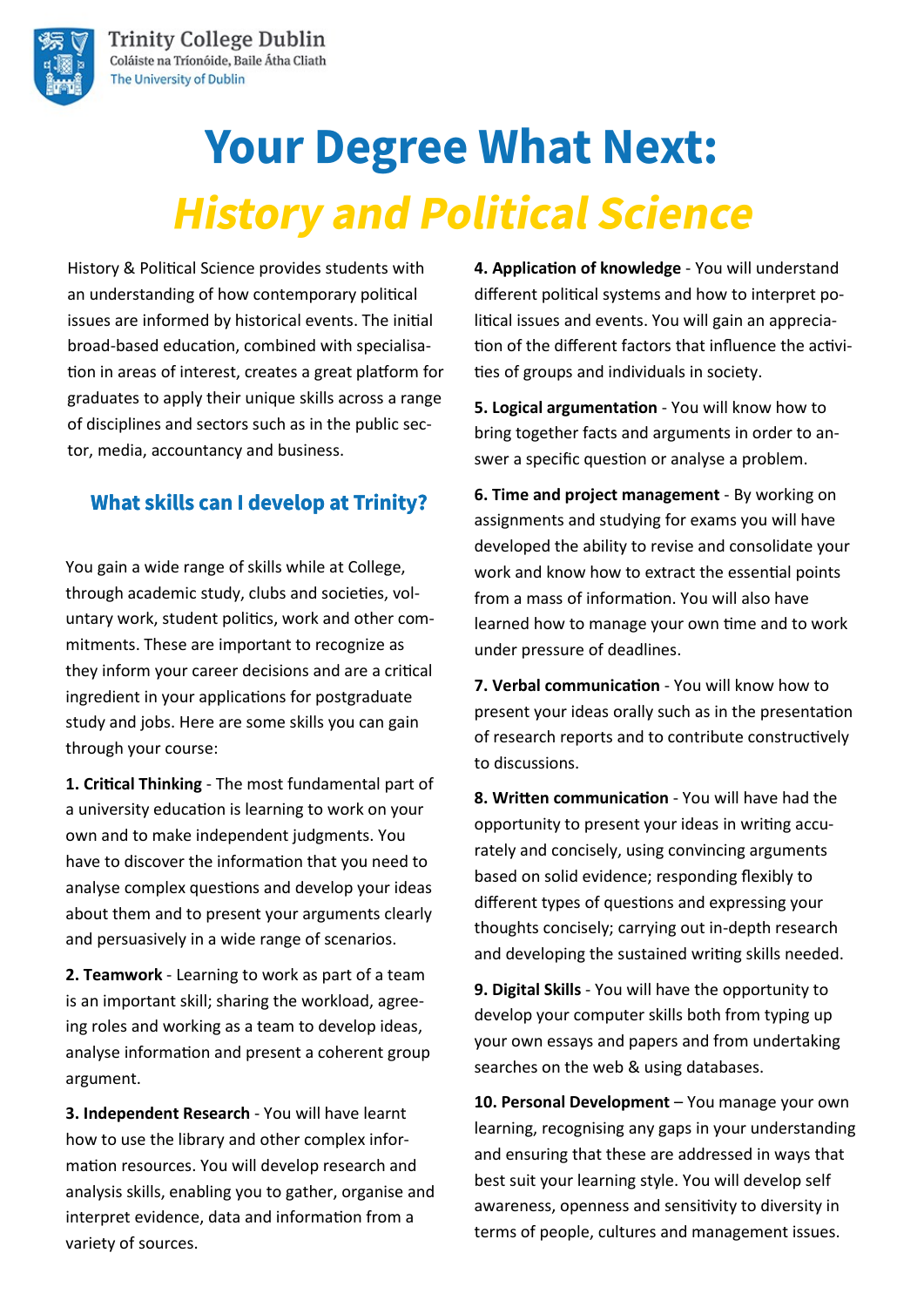

# **Your Degree What Next: History and Political Science**

History & Political Science provides students with an understanding of how contemporary political issues are informed by historical events. The initial broad-based education, combined with specialisation in areas of interest, creates a great platform for graduates to apply their unique skills across a range of disciplines and sectors such as in the public sector, media, accountancy and business.

### **What skills can I develop at Trinity?**

You gain a wide range of skills while at College, through academic study, clubs and societies, voluntary work, student politics, work and other commitments. These are important to recognize as they inform your career decisions and are a critical ingredient in your applications for postgraduate study and jobs. Here are some skills you can gain through your course:

**1. Critical Thinking** - The most fundamental part of a university education is learning to work on your own and to make independent judgments. You have to discover the information that you need to analyse complex questions and develop your ideas about them and to present your arguments clearly and persuasively in a wide range of scenarios.

**2. Teamwork** - Learning to work as part of a team is an important skill; sharing the workload, agreeing roles and working as a team to develop ideas, analyse information and present a coherent group argument.

**3. Independent Research** - You will have learnt how to use the library and other complex information resources. You will develop research and analysis skills, enabling you to gather, organise and interpret evidence, data and information from a variety of sources.

**4. Application of knowledge** - You will understand different political systems and how to interpret political issues and events. You will gain an appreciation of the different factors that influence the activities of groups and individuals in society.

**5. Logical argumentation** - You will know how to bring together facts and arguments in order to answer a specific question or analyse a problem.

**6. Time and project management** - By working on assignments and studying for exams you will have developed the ability to revise and consolidate your work and know how to extract the essential points from a mass of information. You will also have learned how to manage your own time and to work under pressure of deadlines.

**7. Verbal communication** - You will know how to present your ideas orally such as in the presentation of research reports and to contribute constructively to discussions.

**8. Written communication** - You will have had the opportunity to present your ideas in writing accurately and concisely, using convincing arguments based on solid evidence; responding flexibly to different types of questions and expressing your thoughts concisely; carrying out in-depth research and developing the sustained writing skills needed.

**9. Digital Skills** - You will have the opportunity to develop your computer skills both from typing up your own essays and papers and from undertaking searches on the web & using databases.

**10. Personal Development** – You manage your own learning, recognising any gaps in your understanding and ensuring that these are addressed in ways that best suit your learning style. You will develop self awareness, openness and sensitivity to diversity in terms of people, cultures and management issues.